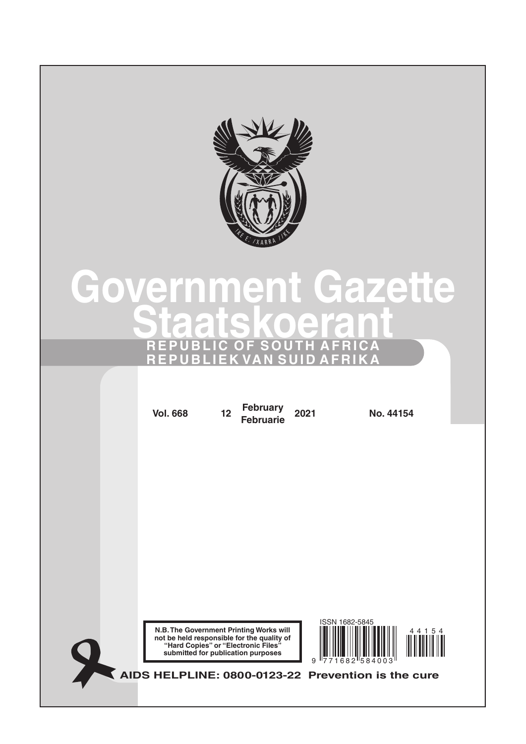

# **Government Gazette Staatskoerant REPUBLIC OF SOUTH AFRICA REPUBLIEK VAN SUID AFRIKA**

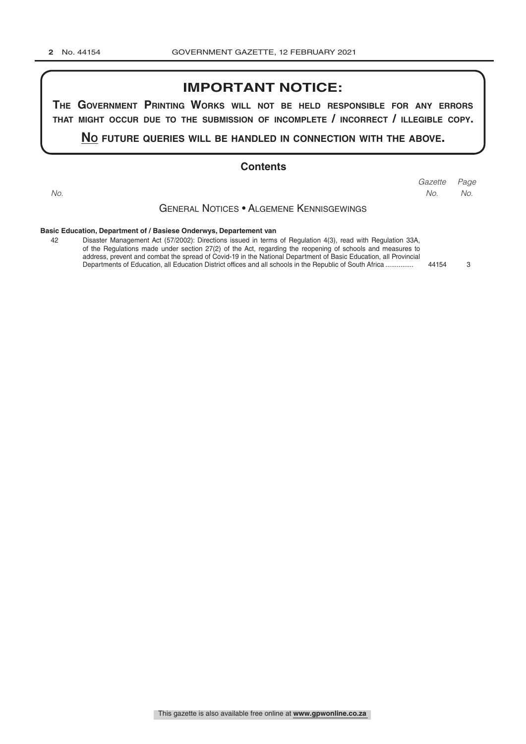# **IMPORTANT NOTICE:**

**The GovernmenT PrinTinG Works Will noT be held resPonsible for any errors ThaT miGhT occur due To The submission of incomPleTe / incorrecT / illeGible coPy.**

**no fuTure queries Will be handled in connecTion WiTh The above.**

#### **Contents**

*Page Gazette*

*No.*

*No. No.*

## General [Notices • Algemene Kennisgewings](#page-2-0)

#### **[Basic Education, Department of / Basiese Onderwys, Departement van](#page-2-0)**

| 42 | Disaster Management Act (57/2002): Directions issued in terms of Regulation 4(3), read with Regulation 33A,      |       |               |
|----|------------------------------------------------------------------------------------------------------------------|-------|---------------|
|    | of the Regulations made under section 27(2) of the Act, regarding the reopening of schools and measures to       |       |               |
|    | address, prevent and combat the spread of Covid-19 in the National Department of Basic Education, all Provincial |       |               |
|    | Departments of Education, all Education District offices and all schools in the Republic of South Africa         | 44154 | $\mathcal{B}$ |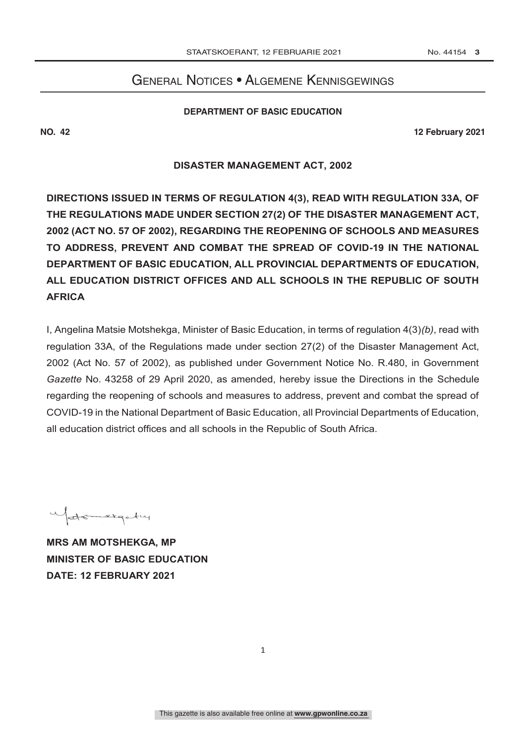# GENERAL NOTICES • ALGEMENE KENNISGEWINGS

#### **Department of Basic Education**

**NO. 42 12 February 2021 No. 42 12 February** 

### **DISASTER MANAGEMENT ACT, 2002**

**DIRECTIONS ISSUED IN TERMS OF REGULATION 4(3), READ WITH REGULATION 33A, OF THE REGULATIONS MADE UNDER SECTION 27(2) OF THE DISASTER MANAGEMENT ACT, 2002 (ACT NO. 57 OF 2002), REGARDING THE REOPENING OF SCHOOLS AND MEASURES TO ADDRESS, PREVENT AND COMBAT THE SPREAD OF COVID-19 IN THE NATIONAL DEPARTMENT OF BASIC EDUCATION, ALL PROVINCIAL DEPARTMENTS OF EDUCATION, ALL EDUCATION DISTRICT OFFICES AND ALL SCHOOLS IN THE REPUBLIC OF SOUTH AFRICA**

I, Angelina Matsie Motshekga, Minister of Basic Education, in terms of regulation 4(3)*(b)*, read with regulation 33A, of the Regulations made under section 27(2) of the Disaster Management Act, 2002 (Act No. 57 of 2002), as published under Government Notice No. R.480, in Government *Gazette* No. 43258 of 29 April 2020, as amended, hereby issue the Directions in the Schedule regarding the reopening of schools and measures to address, prevent and combat the spread of COVID-19 in the National Department of Basic Education, all Provincial Departments of Education, all education district offices and all schools in the Republic of South Africa.

Matemetiqutry

**MRS AM MOTSHEKGA, MP MINISTER OF BASIC EDUCATION DATE: 12 FEBRUARY 2021**

<span id="page-2-0"></span>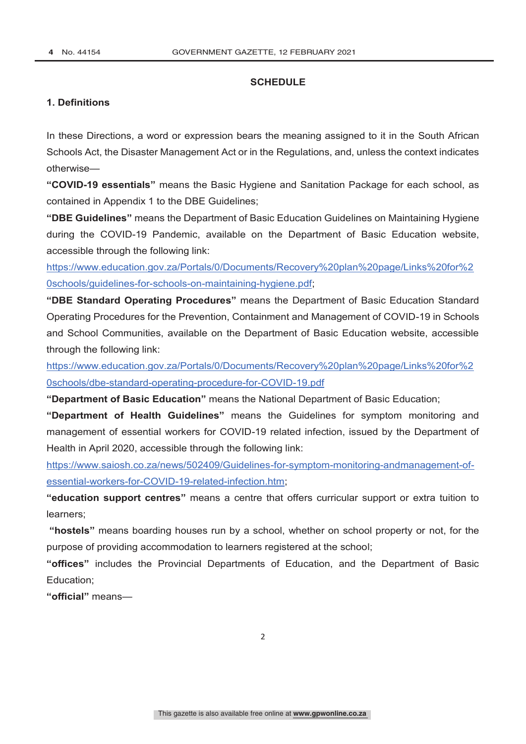#### **SCHEDULE**

# **1. Definitions**

In these Directions, a word or expression bears the meaning assigned to it in the South African Schools Act, the Disaster Management Act or in the Regulations, and, unless the context indicates otherwise—

**"COVID-19 essentials"** means the Basic Hygiene and Sanitation Package for each school, as contained in Appendix 1 to the DBE Guidelines;

**"DBE Guidelines"** means the Department of Basic Education Guidelines on Maintaining Hygiene during the COVID-19 Pandemic, available on the Department of Basic Education website, accessible through the following link:

[https://www.education.gov.za/Portals/0/Documents/Recovery%20plan%20page/Links%20for%2](https://tinyurl.com/DBEHygieneGuideline) 0schools/guidelines-for-schools-on-maintaining-hygiene.pdf;

**"DBE Standard Operating Procedures"** means the Department of Basic Education Standard Operating Procedures for the Prevention, Containment and Management of COVID-19 in Schools and School Communities, available on the Department of Basic Education website, accessible through the following link:

[https://www.education.gov.za/Portals/0/Documents/Recovery%20plan%20page/Links%20for%2](https://tinyurl.com/DBE-SOP-Covid19) 0schools/dbe-standard-operating-procedure-for-COVID-19.pdf

**"Department of Basic Education"** means the National Department of Basic Education;

**"Department of Health Guidelines"** means the Guidelines for symptom monitoring and management of essential workers for COVID-19 related infection, issued by the Department of Health in April 2020, accessible through the following link:

https://www.saiosh.co.za/news/502409/Guidelines-for-symptom-monitoring-andmanagement-ofessential-workers-for-COVID-19-related-infection.htm;

**"education support centres"** means a centre that offers curricular support or extra tuition to learners;

**"hostels"** means boarding houses run by a school, whether on school property or not, for the purpose of providing accommodation to learners registered at the school;

**"offices"** includes the Provincial Departments of Education, and the Department of Basic Education;

**"official"** means—

2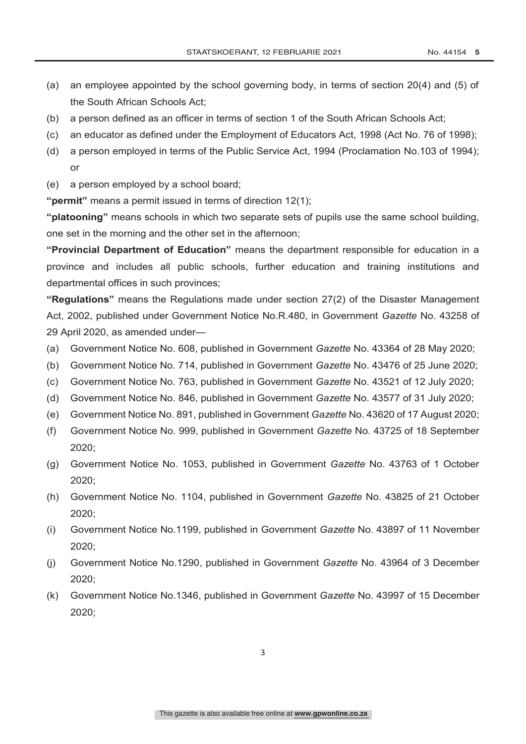- (a) an employee appointed by the school governing body, in terms of section 20(4) and (5) of the South African Schools Act;
- (b) a person defined as an officer in terms of section 1 of the South African Schools Act;
- (c) an educator as defined under the Employment of Educators Act, 1998 (Act No. 76 of 1998);
- (d) a person employed in terms of the Public Service Act, 1994 (Proclamation No.103 of 1994); or
- (e) a person employed by a school board;

**"permit"** means a permit issued in terms of direction 12(1);

**"platooning"** means schools in which two separate sets of pupils use the same school building, one set in the morning and the other set in the afternoon;

**"Provincial Department of Education"** means the department responsible for education in a province and includes all public schools, further education and training institutions and departmental offices in such provinces;

**"Regulations"** means the Regulations made under section 27(2) of the Disaster Management Act, 2002, published under Government Notice No.R.480, in Government *Gazette* No. 43258 of 29 April 2020, as amended under—

- (a) Government Notice No. 608, published in Government *Gazette* No. 43364 of 28 May 2020;
- (b) Government Notice No. 714, published in Government *Gazette* No. 43476 of 25 June 2020;
- (c) Government Notice No. 763, published in Government *Gazette* No. 43521 of 12 July 2020;
- (d) Government Notice No. 846, published in Government *Gazette* No. 43577 of 31 July 2020;
- (e) Government Notice No. 891, published in Government *Gazette* No. 43620 of 17 August 2020;
- (f) Government Notice No. 999, published in Government *Gazette* No. 43725 of 18 September 2020;
- (g) Government Notice No. 1053, published in Government *Gazette* No. 43763 of 1 October 2020;
- (h) Government Notice No. 1104, published in Government *Gazette* No. 43825 of 21 October 2020;
- (i) Government Notice No.1199, published in Government *Gazette* No. 43897 of 11 November 2020;
- (j) Government Notice No.1290, published in Government *Gazette* No. 43964 of 3 December 2020;
- (k) Government Notice No.1346, published in Government *Gazette* No. 43997 of 15 December 2020;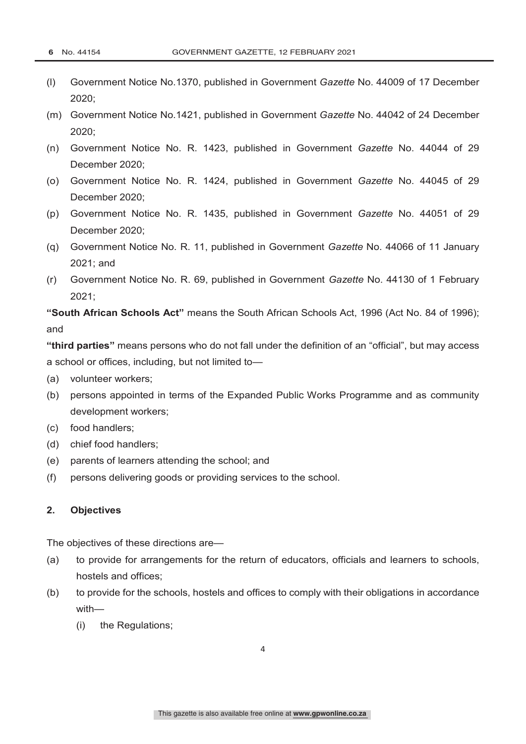- (l) Government Notice No.1370, published in Government *Gazette* No. 44009 of 17 December 2020;
- (m) Government Notice No.1421, published in Government *Gazette* No. 44042 of 24 December 2020;
- (n) Government Notice No. R. 1423, published in Government *Gazette* No. 44044 of 29 December 2020;
- (o) Government Notice No. R. 1424, published in Government *Gazette* No. 44045 of 29 December 2020;
- (p) Government Notice No. R. 1435, published in Government *Gazette* No. 44051 of 29 December 2020;
- (q) Government Notice No. R. 11, published in Government *Gazette* No. 44066 of 11 January 2021; and
- (r) Government Notice No. R. 69, published in Government *Gazette* No. 44130 of 1 February 2021;

**"South African Schools Act"** means the South African Schools Act, 1996 (Act No. 84 of 1996); and

**"third parties"** means persons who do not fall under the definition of an "official", but may access a school or offices, including, but not limited to—

- (a) volunteer workers;
- (b) persons appointed in terms of the Expanded Public Works Programme and as community development workers;
- (c) food handlers;
- (d) chief food handlers;
- (e) parents of learners attending the school; and
- (f) persons delivering goods or providing services to the school.

#### **2. Objectives**

The objectives of these directions are—

- (a) to provide for arrangements for the return of educators, officials and learners to schools, hostels and offices;
- (b) to provide for the schools, hostels and offices to comply with their obligations in accordance with—
	- (i) the Regulations;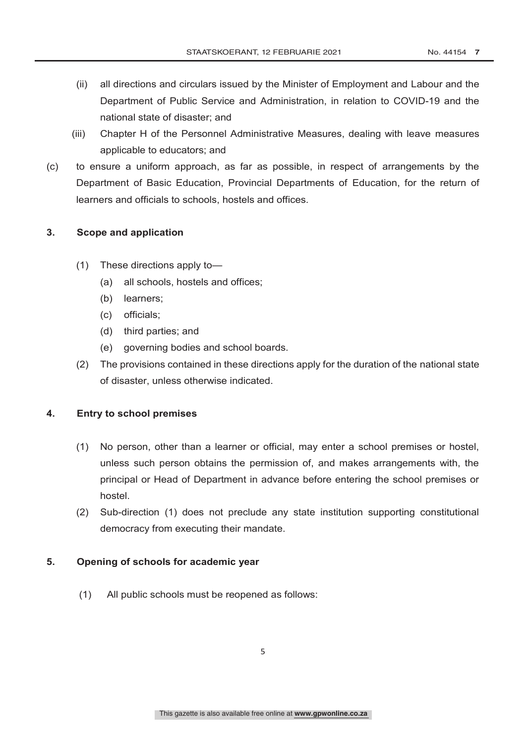- (ii) all directions and circulars issued by the Minister of Employment and Labour and the Department of Public Service and Administration, in relation to COVID-19 and the national state of disaster; and
- (iii) Chapter H of the Personnel Administrative Measures, dealing with leave measures applicable to educators; and
- (c) to ensure a uniform approach, as far as possible, in respect of arrangements by the Department of Basic Education, Provincial Departments of Education, for the return of learners and officials to schools, hostels and offices.

### **3. Scope and application**

- (1) These directions apply to—
	- (a) all schools, hostels and offices;
	- (b) learners;
	- (c) officials;
	- (d) third parties; and
	- (e) governing bodies and school boards.
- (2) The provisions contained in these directions apply for the duration of the national state of disaster, unless otherwise indicated.

#### **4. Entry to school premises**

- (1) No person, other than a learner or official, may enter a school premises or hostel, unless such person obtains the permission of, and makes arrangements with, the principal or Head of Department in advance before entering the school premises or hostel.
- (2) Sub-direction (1) does not preclude any state institution supporting constitutional democracy from executing their mandate.

#### **5. Opening of schools for academic year**

(1) All public schools must be reopened as follows: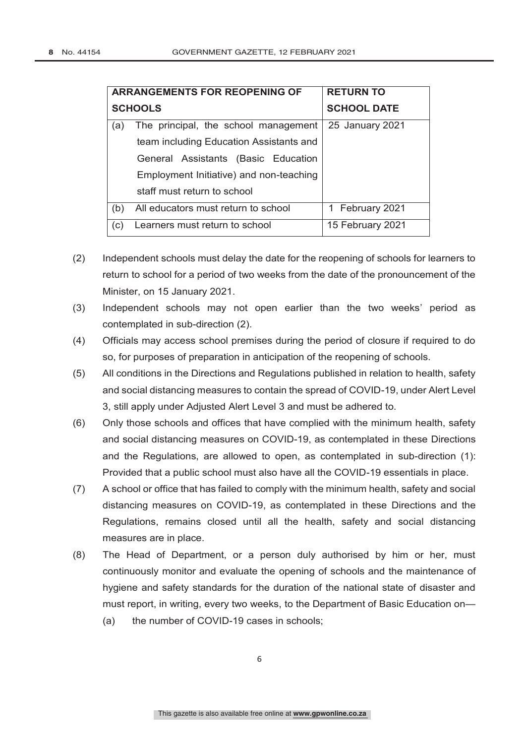|                | <b>ARRANGEMENTS FOR REOPENING OF</b>    | <b>RETURN TO</b>   |
|----------------|-----------------------------------------|--------------------|
| <b>SCHOOLS</b> |                                         | <b>SCHOOL DATE</b> |
| (a)            | The principal, the school management    | 25 January 2021    |
|                | team including Education Assistants and |                    |
|                | General Assistants (Basic Education     |                    |
|                | Employment Initiative) and non-teaching |                    |
|                | staff must return to school             |                    |
| (b)            | All educators must return to school     | 1 February 2021    |
| (c)            | Learners must return to school          | 15 February 2021   |

- (2) Independent schools must delay the date for the reopening of schools for learners to return to school for a period of two weeks from the date of the pronouncement of the Minister, on 15 January 2021.
- (3) Independent schools may not open earlier than the two weeks' period as contemplated in sub-direction (2).
- (4) Officials may access school premises during the period of closure if required to do so, for purposes of preparation in anticipation of the reopening of schools.
- (5) All conditions in the Directions and Regulations published in relation to health, safety and social distancing measures to contain the spread of COVID-19, under Alert Level 3, still apply under Adjusted Alert Level 3 and must be adhered to.
- (6) Only those schools and offices that have complied with the minimum health, safety and social distancing measures on COVID-19, as contemplated in these Directions and the Regulations, are allowed to open, as contemplated in sub-direction (1): Provided that a public school must also have all the COVID-19 essentials in place.
- (7) A school or office that has failed to comply with the minimum health, safety and social distancing measures on COVID-19, as contemplated in these Directions and the Regulations, remains closed until all the health, safety and social distancing measures are in place.
- (8) The Head of Department, or a person duly authorised by him or her, must continuously monitor and evaluate the opening of schools and the maintenance of hygiene and safety standards for the duration of the national state of disaster and must report, in writing, every two weeks, to the Department of Basic Education on— (a) the number of COVID-19 cases in schools;

6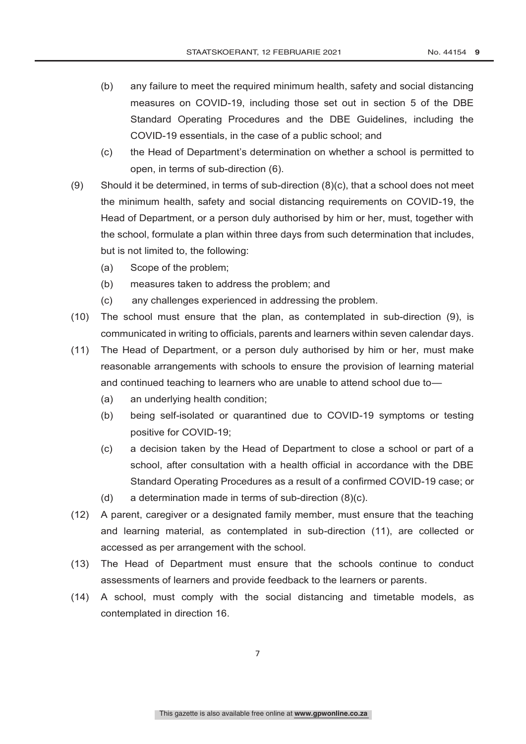- (b) any failure to meet the required minimum health, safety and social distancing measures on COVID-19, including those set out in section 5 of the DBE Standard Operating Procedures and the DBE Guidelines, including the COVID-19 essentials, in the case of a public school; and
- (c) the Head of Department's determination on whether a school is permitted to open, in terms of sub-direction (6).
- (9) Should it be determined, in terms of sub-direction  $(8)(c)$ , that a school does not meet the minimum health, safety and social distancing requirements on COVID-19, the Head of Department, or a person duly authorised by him or her, must, together with the school, formulate a plan within three days from such determination that includes, but is not limited to, the following:
	- (a) Scope of the problem;
	- (b) measures taken to address the problem; and
	- (c) any challenges experienced in addressing the problem.
- (10) The school must ensure that the plan, as contemplated in sub-direction (9), is communicated in writing to officials, parents and learners within seven calendar days.
- (11) The Head of Department, or a person duly authorised by him or her, must make reasonable arrangements with schools to ensure the provision of learning material and continued teaching to learners who are unable to attend school due to—
	- (a) an underlying health condition;
	- (b) being self-isolated or quarantined due to COVID-19 symptoms or testing positive for COVID-19;
	- (c) a decision taken by the Head of Department to close a school or part of a school, after consultation with a health official in accordance with the DBE Standard Operating Procedures as a result of a confirmed COVID-19 case; or
	- (d) a determination made in terms of sub-direction (8)(c).
- (12) A parent, caregiver or a designated family member, must ensure that the teaching and learning material, as contemplated in sub-direction (11), are collected or accessed as per arrangement with the school.
- (13) The Head of Department must ensure that the schools continue to conduct assessments of learners and provide feedback to the learners or parents.
- (14) A school, must comply with the social distancing and timetable models, as contemplated in direction 16.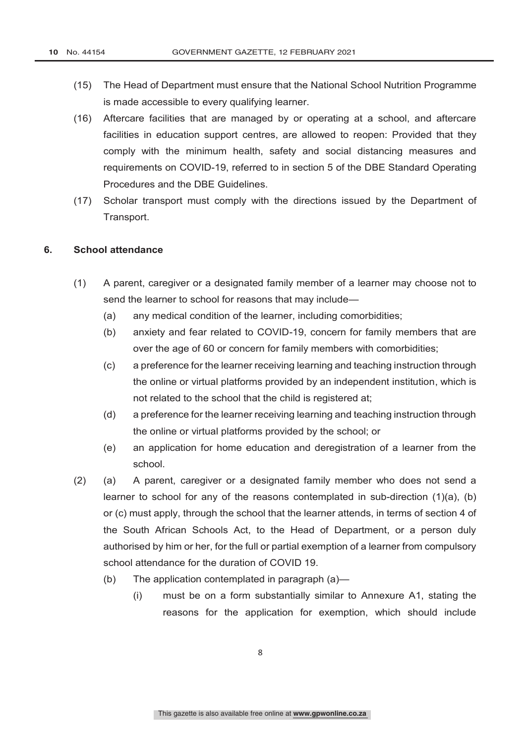- (15) The Head of Department must ensure that the National School Nutrition Programme is made accessible to every qualifying learner.
- (16) Aftercare facilities that are managed by or operating at a school, and aftercare facilities in education support centres, are allowed to reopen: Provided that they comply with the minimum health, safety and social distancing measures and requirements on COVID-19, referred to in section 5 of the DBE Standard Operating Procedures and the DBE Guidelines.
- (17) Scholar transport must comply with the directions issued by the Department of Transport.

#### **6. School attendance**

- (1) A parent, caregiver or a designated family member of a learner may choose not to send the learner to school for reasons that may include—
	- (a) any medical condition of the learner, including comorbidities;
	- (b) anxiety and fear related to COVID-19, concern for family members that are over the age of 60 or concern for family members with comorbidities;
	- (c) a preference for the learner receiving learning and teaching instruction through the online or virtual platforms provided by an independent institution, which is not related to the school that the child is registered at;
	- (d) a preference for the learner receiving learning and teaching instruction through the online or virtual platforms provided by the school; or
	- (e) an application for home education and deregistration of a learner from the school.
- (2) (a) A parent, caregiver or a designated family member who does not send a learner to school for any of the reasons contemplated in sub-direction (1)(a), (b) or (c) must apply, through the school that the learner attends, in terms of section 4 of the South African Schools Act, to the Head of Department, or a person duly authorised by him or her, for the full or partial exemption of a learner from compulsory school attendance for the duration of COVID 19.
	- (b) The application contemplated in paragraph (a)—
		- (i) must be on a form substantially similar to Annexure A1, stating the reasons for the application for exemption, which should include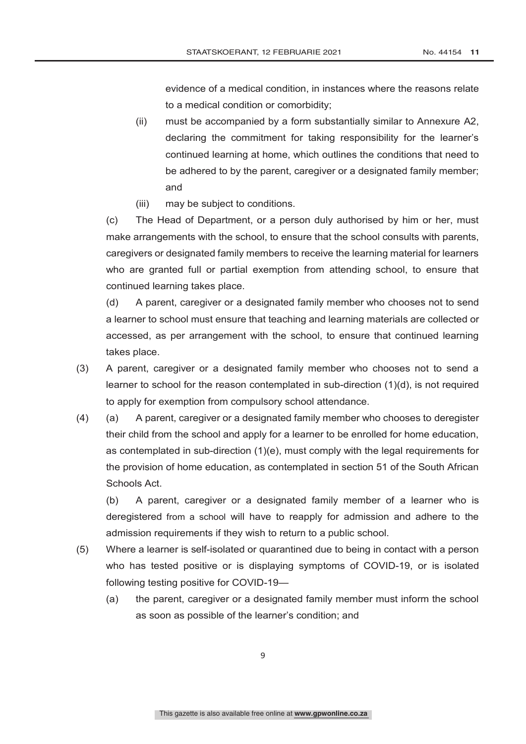evidence of a medical condition, in instances where the reasons relate to a medical condition or comorbidity;

- (ii) must be accompanied by a form substantially similar to Annexure A2, declaring the commitment for taking responsibility for the learner's continued learning at home, which outlines the conditions that need to be adhered to by the parent, caregiver or a designated family member; and
- (iii) may be subject to conditions.

(c) The Head of Department, or a person duly authorised by him or her, must make arrangements with the school, to ensure that the school consults with parents, caregivers or designated family members to receive the learning material for learners who are granted full or partial exemption from attending school, to ensure that continued learning takes place.

(d) A parent, caregiver or a designated family member who chooses not to send a learner to school must ensure that teaching and learning materials are collected or accessed, as per arrangement with the school, to ensure that continued learning takes place.

- (3) A parent, caregiver or a designated family member who chooses not to send a learner to school for the reason contemplated in sub-direction (1)(d), is not required to apply for exemption from compulsory school attendance.
- (4) (a) A parent, caregiver or a designated family member who chooses to deregister their child from the school and apply for a learner to be enrolled for home education, as contemplated in sub-direction (1)(e), must comply with the legal requirements for the provision of home education, as contemplated in section 51 of the South African Schools Act.

(b) A parent, caregiver or a designated family member of a learner who is deregistered from a school will have to reapply for admission and adhere to the admission requirements if they wish to return to a public school.

- (5) Where a learner is self-isolated or quarantined due to being in contact with a person who has tested positive or is displaying symptoms of COVID-19, or is isolated following testing positive for COVID-19—
	- (a) the parent, caregiver or a designated family member must inform the school as soon as possible of the learner's condition; and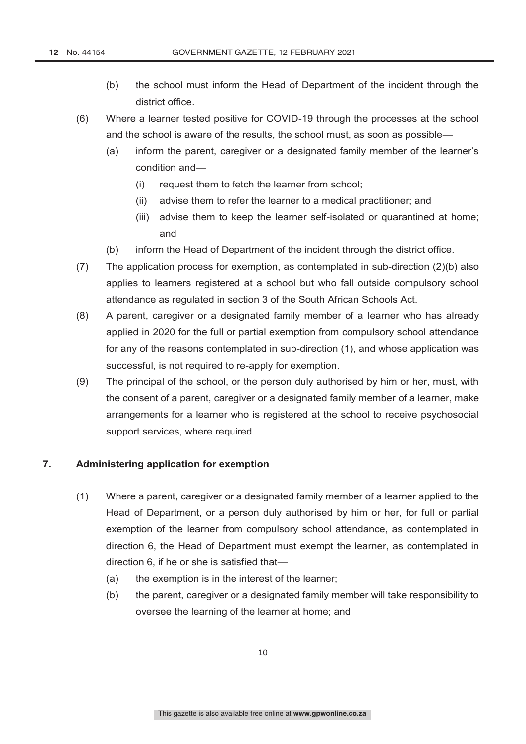- (b) the school must inform the Head of Department of the incident through the district office.
- (6) Where a learner tested positive for COVID-19 through the processes at the school and the school is aware of the results, the school must, as soon as possible—
	- (a) inform the parent, caregiver or a designated family member of the learner's condition and—
		- (i) request them to fetch the learner from school;
		- (ii) advise them to refer the learner to a medical practitioner; and
		- (iii) advise them to keep the learner self-isolated or quarantined at home; and
	- (b) inform the Head of Department of the incident through the district office.
- (7) The application process for exemption, as contemplated in sub-direction (2)(b) also applies to learners registered at a school but who fall outside compulsory school attendance as regulated in section 3 of the South African Schools Act.
- (8) A parent, caregiver or a designated family member of a learner who has already applied in 2020 for the full or partial exemption from compulsory school attendance for any of the reasons contemplated in sub-direction (1), and whose application was successful, is not required to re-apply for exemption.
- (9) The principal of the school, or the person duly authorised by him or her, must, with the consent of a parent, caregiver or a designated family member of a learner, make arrangements for a learner who is registered at the school to receive psychosocial support services, where required.

### **7. Administering application for exemption**

- (1) Where a parent, caregiver or a designated family member of a learner applied to the Head of Department, or a person duly authorised by him or her, for full or partial exemption of the learner from compulsory school attendance, as contemplated in direction 6, the Head of Department must exempt the learner, as contemplated in direction 6, if he or she is satisfied that—
	- (a) the exemption is in the interest of the learner;
	- (b) the parent, caregiver or a designated family member will take responsibility to oversee the learning of the learner at home; and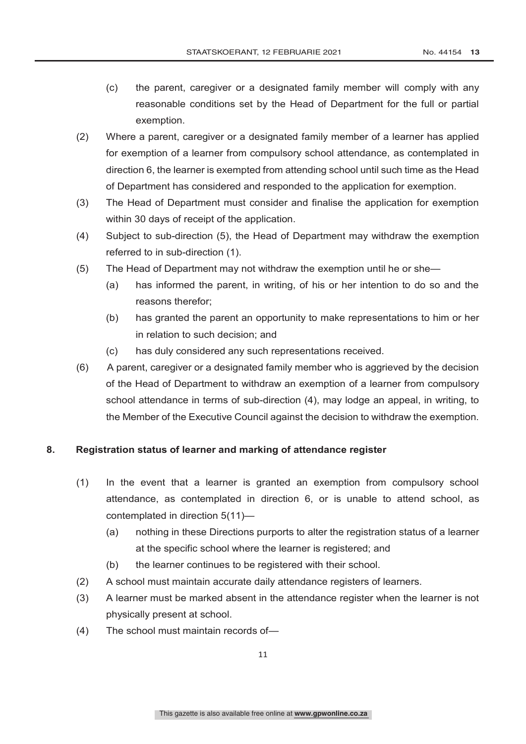- (c) the parent, caregiver or a designated family member will comply with any reasonable conditions set by the Head of Department for the full or partial exemption.
- (2) Where a parent, caregiver or a designated family member of a learner has applied for exemption of a learner from compulsory school attendance, as contemplated in direction 6, the learner is exempted from attending school until such time as the Head of Department has considered and responded to the application for exemption.
- (3) The Head of Department must consider and finalise the application for exemption within 30 days of receipt of the application.
- (4) Subject to sub-direction (5), the Head of Department may withdraw the exemption referred to in sub-direction (1).
- (5) The Head of Department may not withdraw the exemption until he or she—
	- (a) has informed the parent, in writing, of his or her intention to do so and the reasons therefor;
	- (b) has granted the parent an opportunity to make representations to him or her in relation to such decision; and
	- (c) has duly considered any such representations received.
- (6) A parent, caregiver or a designated family member who is aggrieved by the decision of the Head of Department to withdraw an exemption of a learner from compulsory school attendance in terms of sub-direction (4), may lodge an appeal, in writing, to the Member of the Executive Council against the decision to withdraw the exemption.

## **8. Registration status of learner and marking of attendance register**

- (1) In the event that a learner is granted an exemption from compulsory school attendance, as contemplated in direction 6, or is unable to attend school, as contemplated in direction 5(11)—
	- (a) nothing in these Directions purports to alter the registration status of a learner at the specific school where the learner is registered; and
	- (b) the learner continues to be registered with their school.
- (2) A school must maintain accurate daily attendance registers of learners.
- (3) A learner must be marked absent in the attendance register when the learner is not physically present at school.
- (4) The school must maintain records of—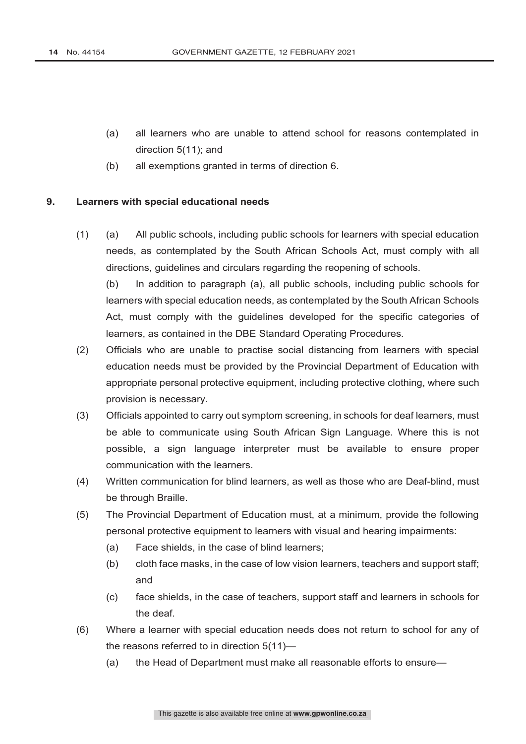- (a) all learners who are unable to attend school for reasons contemplated in direction 5(11); and
- (b) all exemptions granted in terms of direction 6.

#### **9. Learners with special educational needs**

(1) (a) All public schools, including public schools for learners with special education needs, as contemplated by the South African Schools Act, must comply with all directions, guidelines and circulars regarding the reopening of schools.

(b) In addition to paragraph (a), all public schools, including public schools for learners with special education needs, as contemplated by the South African Schools Act, must comply with the guidelines developed for the specific categories of learners, as contained in the DBE Standard Operating Procedures.

- (2) Officials who are unable to practise social distancing from learners with special education needs must be provided by the Provincial Department of Education with appropriate personal protective equipment, including protective clothing, where such provision is necessary.
- (3) Officials appointed to carry out symptom screening, in schools for deaf learners, must be able to communicate using South African Sign Language. Where this is not possible, a sign language interpreter must be available to ensure proper communication with the learners.
- (4) Written communication for blind learners, as well as those who are Deaf-blind, must be through Braille.
- (5) The Provincial Department of Education must, at a minimum, provide the following personal protective equipment to learners with visual and hearing impairments:
	- (a) Face shields, in the case of blind learners;
	- (b) cloth face masks, in the case of low vision learners, teachers and support staff; and
	- (c) face shields, in the case of teachers, support staff and learners in schools for the deaf.
- (6) Where a learner with special education needs does not return to school for any of the reasons referred to in direction 5(11)—
	- (a) the Head of Department must make all reasonable efforts to ensure—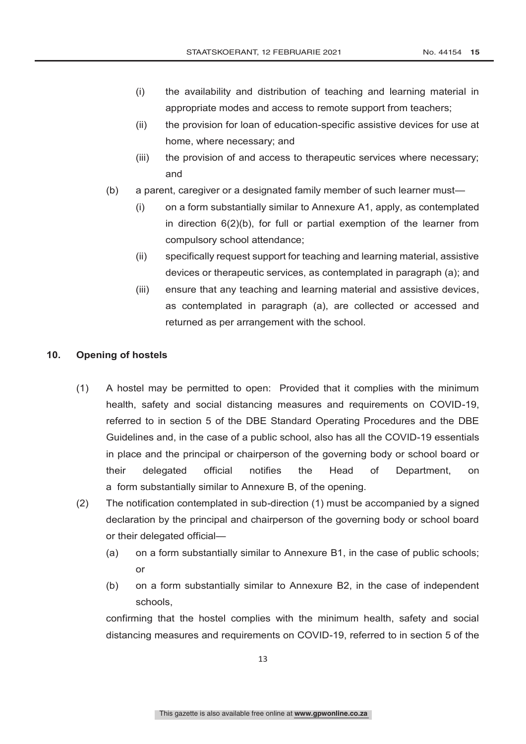- (i) the availability and distribution of teaching and learning material in appropriate modes and access to remote support from teachers;
- (ii) the provision for loan of education-specific assistive devices for use at home, where necessary; and
- (iii) the provision of and access to therapeutic services where necessary; and
- (b) a parent, caregiver or a designated family member of such learner must—
	- (i) on a form substantially similar to Annexure A1, apply, as contemplated in direction 6(2)(b), for full or partial exemption of the learner from compulsory school attendance;
	- (ii) specifically request support for teaching and learning material, assistive devices or therapeutic services, as contemplated in paragraph (a); and
	- (iii) ensure that any teaching and learning material and assistive devices, as contemplated in paragraph (a), are collected or accessed and returned as per arrangement with the school.

### **10. Opening of hostels**

- (1) A hostel may be permitted to open: Provided that it complies with the minimum health, safety and social distancing measures and requirements on COVID-19, referred to in section 5 of the DBE Standard Operating Procedures and the DBE Guidelines and, in the case of a public school, also has all the COVID-19 essentials in place and the principal or chairperson of the governing body or school board or their delegated official notifies the Head of Department, on a form substantially similar to Annexure B, of the opening.
- (2) The notification contemplated in sub-direction (1) must be accompanied by a signed declaration by the principal and chairperson of the governing body or school board or their delegated official—
	- (a) on a form substantially similar to Annexure B1, in the case of public schools; or
	- (b) on a form substantially similar to Annexure B2, in the case of independent schools,

confirming that the hostel complies with the minimum health, safety and social distancing measures and requirements on COVID-19, referred to in section 5 of the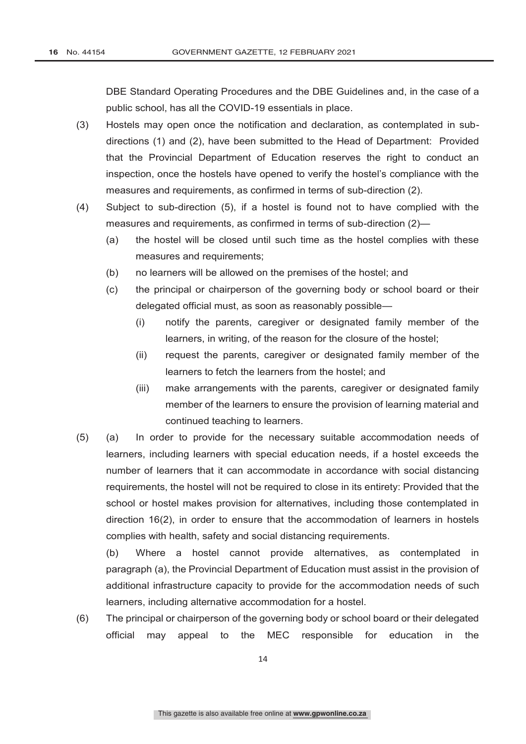DBE Standard Operating Procedures and the DBE Guidelines and, in the case of a public school, has all the COVID-19 essentials in place.

- (3) Hostels may open once the notification and declaration, as contemplated in subdirections (1) and (2), have been submitted to the Head of Department: Provided that the Provincial Department of Education reserves the right to conduct an inspection, once the hostels have opened to verify the hostel's compliance with the measures and requirements, as confirmed in terms of sub-direction (2).
- (4) Subject to sub-direction (5), if a hostel is found not to have complied with the measures and requirements, as confirmed in terms of sub-direction (2)—
	- (a) the hostel will be closed until such time as the hostel complies with these measures and requirements;
	- (b) no learners will be allowed on the premises of the hostel; and
	- (c) the principal or chairperson of the governing body or school board or their delegated official must, as soon as reasonably possible—
		- (i) notify the parents, caregiver or designated family member of the learners, in writing, of the reason for the closure of the hostel;
		- (ii) request the parents, caregiver or designated family member of the learners to fetch the learners from the hostel; and
		- (iii) make arrangements with the parents, caregiver or designated family member of the learners to ensure the provision of learning material and continued teaching to learners.
- (5) (a) In order to provide for the necessary suitable accommodation needs of learners, including learners with special education needs, if a hostel exceeds the number of learners that it can accommodate in accordance with social distancing requirements, the hostel will not be required to close in its entirety: Provided that the school or hostel makes provision for alternatives, including those contemplated in direction 16(2), in order to ensure that the accommodation of learners in hostels complies with health, safety and social distancing requirements.

(b) Where a hostel cannot provide alternatives, as contemplated in paragraph (a), the Provincial Department of Education must assist in the provision of additional infrastructure capacity to provide for the accommodation needs of such learners, including alternative accommodation for a hostel.

(6) The principal or chairperson of the governing body or school board or their delegated official may appeal to the MEC responsible for education in the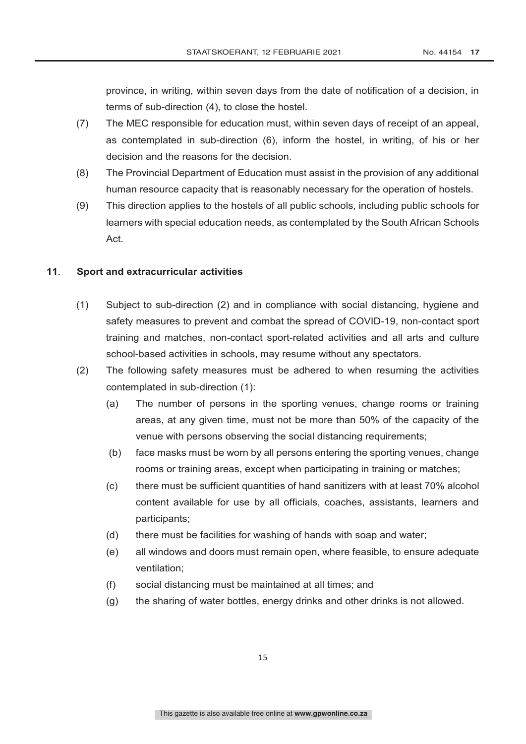province, in writing, within seven days from the date of notification of a decision, in terms of sub-direction (4), to close the hostel.

- (7) The MEC responsible for education must, within seven days of receipt of an appeal, as contemplated in sub-direction (6), inform the hostel, in writing, of his or her decision and the reasons for the decision.
- (8) The Provincial Department of Education must assist in the provision of any additional human resource capacity that is reasonably necessary for the operation of hostels.
- (9) This direction applies to the hostels of all public schools, including public schools for learners with special education needs, as contemplated by the South African Schools Act.

#### **11**. **Sport and extracurricular activities**

- (1) Subject to sub-direction (2) and in compliance with social distancing, hygiene and safety measures to prevent and combat the spread of COVID-19, non-contact sport training and matches, non-contact sport-related activities and all arts and culture school-based activities in schools, may resume without any spectators.
- (2) The following safety measures must be adhered to when resuming the activities contemplated in sub-direction (1):
	- (a) The number of persons in the sporting venues, change rooms or training areas, at any given time, must not be more than 50% of the capacity of the venue with persons observing the social distancing requirements;
	- (b) face masks must be worn by all persons entering the sporting venues, change rooms or training areas, except when participating in training or matches;
	- (c) there must be sufficient quantities of hand sanitizers with at least 70% alcohol content available for use by all officials, coaches, assistants, learners and participants;
	- (d) there must be facilities for washing of hands with soap and water;
	- (e) all windows and doors must remain open, where feasible, to ensure adequate ventilation;
	- (f) social distancing must be maintained at all times; and
	- (g) the sharing of water bottles, energy drinks and other drinks is not allowed.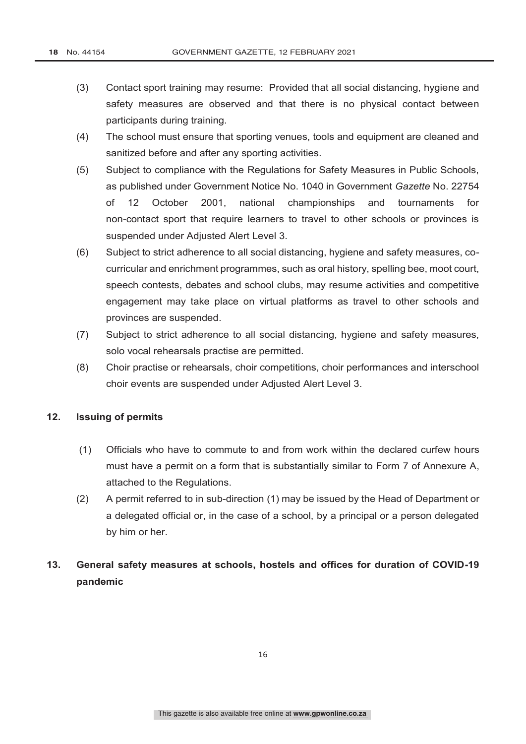- (3) Contact sport training may resume: Provided that all social distancing, hygiene and safety measures are observed and that there is no physical contact between participants during training.
- (4) The school must ensure that sporting venues, tools and equipment are cleaned and sanitized before and after any sporting activities.
- (5) Subject to compliance with the Regulations for Safety Measures in Public Schools, as published under Government Notice No. 1040 in Government *Gazette* No. 22754 of 12 October 2001, national championships and tournaments for non-contact sport that require learners to travel to other schools or provinces is suspended under Adjusted Alert Level 3.
- (6) Subject to strict adherence to all social distancing, hygiene and safety measures, cocurricular and enrichment programmes, such as oral history, spelling bee, moot court, speech contests, debates and school clubs, may resume activities and competitive engagement may take place on virtual platforms as travel to other schools and provinces are suspended.
- (7) Subject to strict adherence to all social distancing, hygiene and safety measures, solo vocal rehearsals practise are permitted.
- (8) Choir practise or rehearsals, choir competitions, choir performances and interschool choir events are suspended under Adjusted Alert Level 3.

#### **12. Issuing of permits**

- (1) Officials who have to commute to and from work within the declared curfew hours must have a permit on a form that is substantially similar to Form 7 of Annexure A, attached to the Regulations.
- (2) A permit referred to in sub-direction (1) may be issued by the Head of Department or a delegated official or, in the case of a school, by a principal or a person delegated by him or her.

# **13. General safety measures at schools, hostels and offices for duration of COVID-19 pandemic**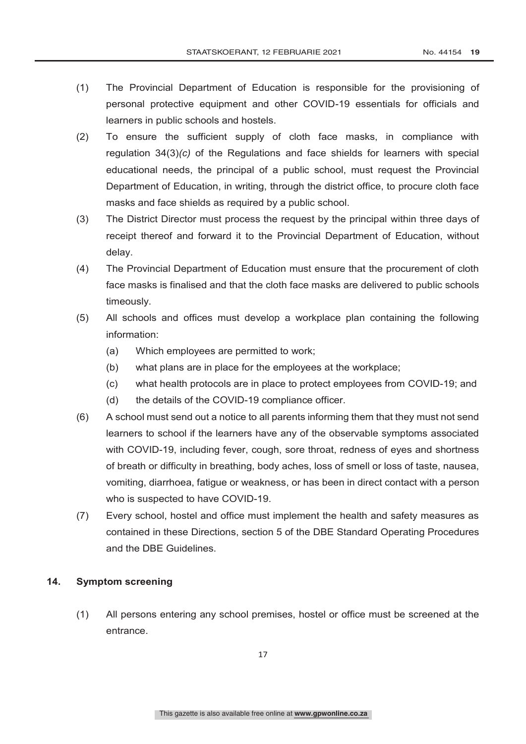- (1) The Provincial Department of Education is responsible for the provisioning of personal protective equipment and other COVID-19 essentials for officials and learners in public schools and hostels.
- (2) To ensure the sufficient supply of cloth face masks, in compliance with regulation 34(3)*(c)* of the Regulations and face shields for learners with special educational needs, the principal of a public school, must request the Provincial Department of Education, in writing, through the district office, to procure cloth face masks and face shields as required by a public school.
- (3) The District Director must process the request by the principal within three days of receipt thereof and forward it to the Provincial Department of Education, without delay.
- (4) The Provincial Department of Education must ensure that the procurement of cloth face masks is finalised and that the cloth face masks are delivered to public schools timeously.
- (5) All schools and offices must develop a workplace plan containing the following information:
	- (a) Which employees are permitted to work;
	- (b) what plans are in place for the employees at the workplace;
	- (c) what health protocols are in place to protect employees from COVID-19; and
	- (d) the details of the COVID-19 compliance officer.
- (6) A school must send out a notice to all parents informing them that they must not send learners to school if the learners have any of the observable symptoms associated with COVID-19, including fever, cough, sore throat, redness of eyes and shortness of breath or difficulty in breathing, body aches, loss of smell or loss of taste, nausea, vomiting, diarrhoea, fatigue or weakness, or has been in direct contact with a person who is suspected to have COVID-19.
- (7) Every school, hostel and office must implement the health and safety measures as contained in these Directions, section 5 of the DBE Standard Operating Procedures and the DBE Guidelines.

# **14. Symptom screening**

(1) All persons entering any school premises, hostel or office must be screened at the entrance.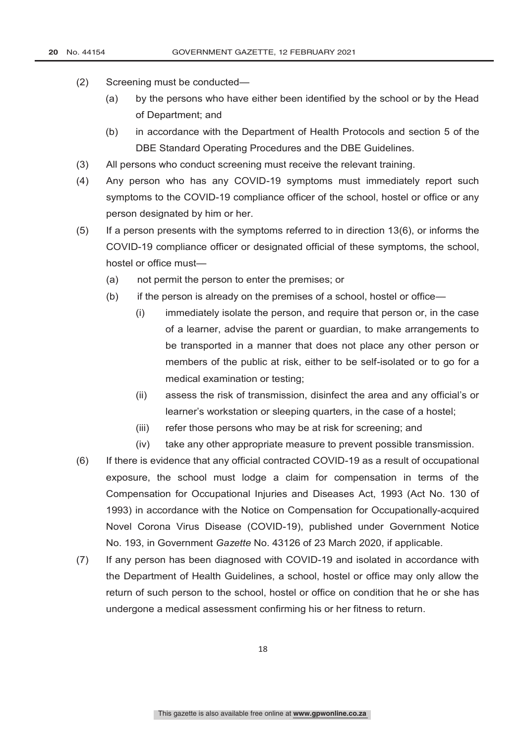- (2) Screening must be conducted—
	- (a) by the persons who have either been identified by the school or by the Head of Department; and
	- (b) in accordance with the Department of Health Protocols and section 5 of the DBE Standard Operating Procedures and the DBE Guidelines.
- (3) All persons who conduct screening must receive the relevant training.
- (4) Any person who has any COVID-19 symptoms must immediately report such symptoms to the COVID-19 compliance officer of the school, hostel or office or any person designated by him or her.
- (5) If a person presents with the symptoms referred to in direction 13(6), or informs the COVID-19 compliance officer or designated official of these symptoms, the school, hostel or office must—
	- (a) not permit the person to enter the premises; or
	- (b) if the person is already on the premises of a school, hostel or office—
		- (i) immediately isolate the person, and require that person or, in the case of a learner, advise the parent or guardian, to make arrangements to be transported in a manner that does not place any other person or members of the public at risk, either to be self-isolated or to go for a medical examination or testing;
		- (ii) assess the risk of transmission, disinfect the area and any official's or learner's workstation or sleeping quarters, in the case of a hostel;
		- (iii) refer those persons who may be at risk for screening; and
		- (iv) take any other appropriate measure to prevent possible transmission.
- (6) If there is evidence that any official contracted COVID-19 as a result of occupational exposure, the school must lodge a claim for compensation in terms of the Compensation for Occupational Injuries and Diseases Act, 1993 (Act No. 130 of 1993) in accordance with the Notice on Compensation for Occupationally-acquired Novel Corona Virus Disease (COVID-19), published under Government Notice No. 193, in Government *Gazette* No. 43126 of 23 March 2020, if applicable.
- (7) If any person has been diagnosed with COVID-19 and isolated in accordance with the Department of Health Guidelines, a school, hostel or office may only allow the return of such person to the school, hostel or office on condition that he or she has undergone a medical assessment confirming his or her fitness to return.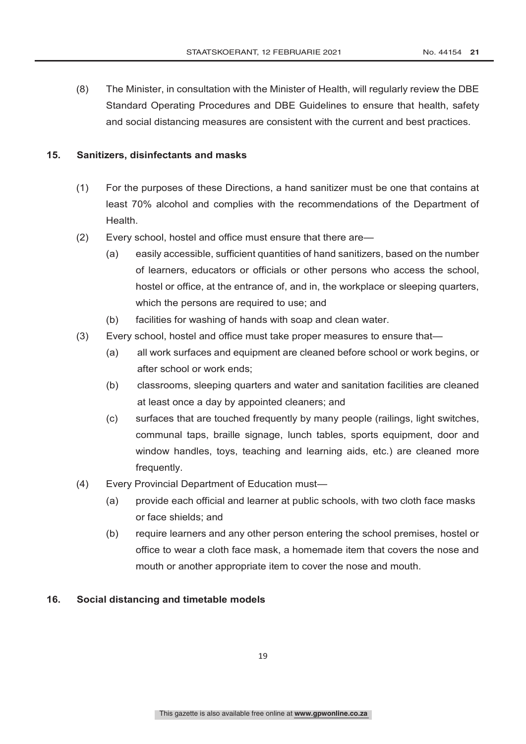(8) The Minister, in consultation with the Minister of Health, will regularly review the DBE Standard Operating Procedures and DBE Guidelines to ensure that health, safety and social distancing measures are consistent with the current and best practices.

#### **15. Sanitizers, disinfectants and masks**

- (1) For the purposes of these Directions, a hand sanitizer must be one that contains at least 70% alcohol and complies with the recommendations of the Department of Health.
- (2) Every school, hostel and office must ensure that there are—
	- (a) easily accessible, sufficient quantities of hand sanitizers, based on the number of learners, educators or officials or other persons who access the school, hostel or office, at the entrance of, and in, the workplace or sleeping quarters, which the persons are required to use; and
	- (b) facilities for washing of hands with soap and clean water.
- (3) Every school, hostel and office must take proper measures to ensure that—
	- (a) all work surfaces and equipment are cleaned before school or work begins, or after school or work ends;
	- (b) classrooms, sleeping quarters and water and sanitation facilities are cleaned at least once a day by appointed cleaners; and
	- (c) surfaces that are touched frequently by many people (railings, light switches, communal taps, braille signage, lunch tables, sports equipment, door and window handles, toys, teaching and learning aids, etc.) are cleaned more frequently.
- (4) Every Provincial Department of Education must—
	- (a) provide each official and learner at public schools, with two cloth face masks or face shields; and
	- (b) require learners and any other person entering the school premises, hostel or office to wear a cloth face mask, a homemade item that covers the nose and mouth or another appropriate item to cover the nose and mouth.

#### **16. Social distancing and timetable models**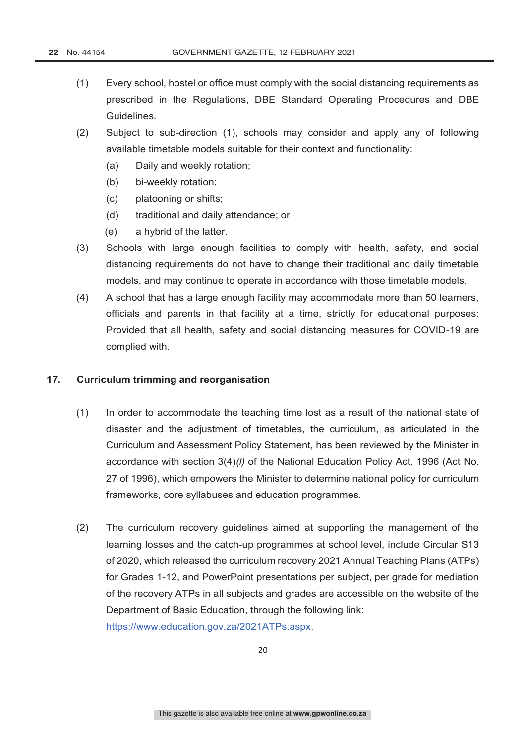- (1) Every school, hostel or office must comply with the social distancing requirements as prescribed in the Regulations, DBE Standard Operating Procedures and DBE Guidelines.
- (2) Subject to sub-direction (1), schools may consider and apply any of following available timetable models suitable for their context and functionality:
	- (a) Daily and weekly rotation;
	- (b) bi-weekly rotation;
	- (c) platooning or shifts;
	- (d) traditional and daily attendance; or
	- (e) a hybrid of the latter.
- (3) Schools with large enough facilities to comply with health, safety, and social distancing requirements do not have to change their traditional and daily timetable models, and may continue to operate in accordance with those timetable models.
- (4) A school that has a large enough facility may accommodate more than 50 learners, officials and parents in that facility at a time, strictly for educational purposes: Provided that all health, safety and social distancing measures for COVID-19 are complied with.

#### **17. Curriculum trimming and reorganisation**

- (1) In order to accommodate the teaching time lost as a result of the national state of disaster and the adjustment of timetables, the curriculum, as articulated in the Curriculum and Assessment Policy Statement, has been reviewed by the Minister in accordance with section 3(4)*(l)* of the National Education Policy Act*,* 1996 (Act No. 27 of 1996), which empowers the Minister to determine national policy for curriculum frameworks, core syllabuses and education programmes.
- (2) The curriculum recovery guidelines aimed at supporting the management of the learning losses and the catch-up programmes at school level, include Circular S13 of 2020, which released the curriculum recovery 2021 Annual Teaching Plans (ATPs) for Grades 1-12, and PowerPoint presentations per subject, per grade for mediation of the recovery ATPs in all subjects and grades are accessible on the website of the Department of Basic Education, through the following link: https://www.education.gov.za/2021ATPs.aspx.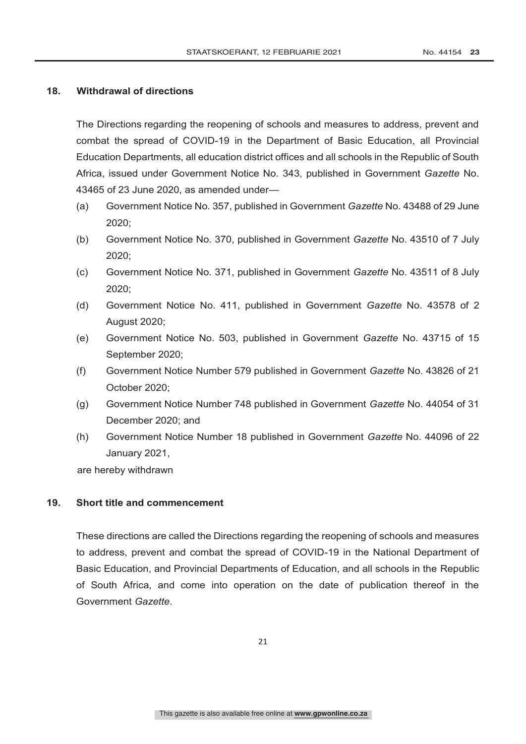#### **18. Withdrawal of directions**

The Directions regarding the reopening of schools and measures to address, prevent and combat the spread of COVID-19 in the Department of Basic Education, all Provincial Education Departments, all education district offices and all schools in the Republic of South Africa, issued under Government Notice No. 343, published in Government *Gazette* No. 43465 of 23 June 2020, as amended under—

- (a) Government Notice No. 357, published in Government *Gazette* No. 43488 of 29 June 2020;
- (b) Government Notice No. 370, published in Government *Gazette* No. 43510 of 7 July 2020;
- (c) Government Notice No. 371, published in Government *Gazette* No. 43511 of 8 July 2020;
- (d) Government Notice No. 411, published in Government *Gazette* No. 43578 of 2 August 2020;
- (e) Government Notice No. 503, published in Government *Gazette* No. 43715 of 15 September 2020;
- (f) Government Notice Number 579 published in Government *Gazette* No. 43826 of 21 October 2020;
- (g) Government Notice Number 748 published in Government *Gazette* No. 44054 of 31 December 2020; and
- (h) Government Notice Number 18 published in Government *Gazette* No. 44096 of 22 January 2021,

are hereby withdrawn

#### **19. Short title and commencement**

These directions are called the Directions regarding the reopening of schools and measures to address, prevent and combat the spread of COVID-19 in the National Department of Basic Education, and Provincial Departments of Education, and all schools in the Republic of South Africa, and come into operation on the date of publication thereof in the Government *Gazette*.

21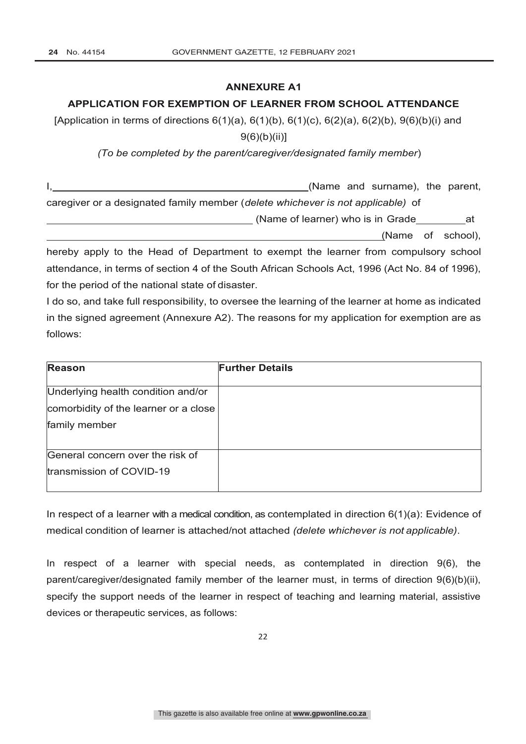#### **ANNEXURE A1**

## **APPLICATION FOR EXEMPTION OF LEARNER FROM SCHOOL ATTENDANCE**

[Application in terms of directions  $6(1)(a)$ ,  $6(1)(b)$ ,  $6(1)(c)$ ,  $6(2)(a)$ ,  $6(2)(b)$ ,  $9(6)(b)(i)$  and 9(6)(b)(ii)]

*(To be completed by the parent/caregiver/designated family member*)

|                                                                                     |  | (Name and surname), the parent, |  |
|-------------------------------------------------------------------------------------|--|---------------------------------|--|
| caregiver or a designated family member (delete whichever is not applicable) of     |  |                                 |  |
|                                                                                     |  |                                 |  |
|                                                                                     |  | (Name of school),               |  |
| hereby apply to the Head of Department to exempt the learner from compulsory school |  |                                 |  |

attendance, in terms of section 4 of the South African Schools Act, 1996 (Act No. 84 of 1996), for the period of the national state of disaster.

I do so, and take full responsibility, to oversee the learning of the learner at home as indicated in the signed agreement (Annexure A2). The reasons for my application for exemption are as follows:

| <b>Reason</b>                         | <b>Further Details</b> |
|---------------------------------------|------------------------|
| Underlying health condition and/or    |                        |
| comorbidity of the learner or a close |                        |
| family member                         |                        |
| General concern over the risk of      |                        |
| transmission of COVID-19              |                        |

In respect of a learner with a medical condition, as contemplated in direction  $6(1)(a)$ : Evidence of medical condition of learner is attached/not attached *(delete whichever is not applicable)*.

In respect of a learner with special needs, as contemplated in direction 9(6), the parent/caregiver/designated family member of the learner must, in terms of direction 9(6)(b)(ii), specify the support needs of the learner in respect of teaching and learning material, assistive devices or therapeutic services, as follows: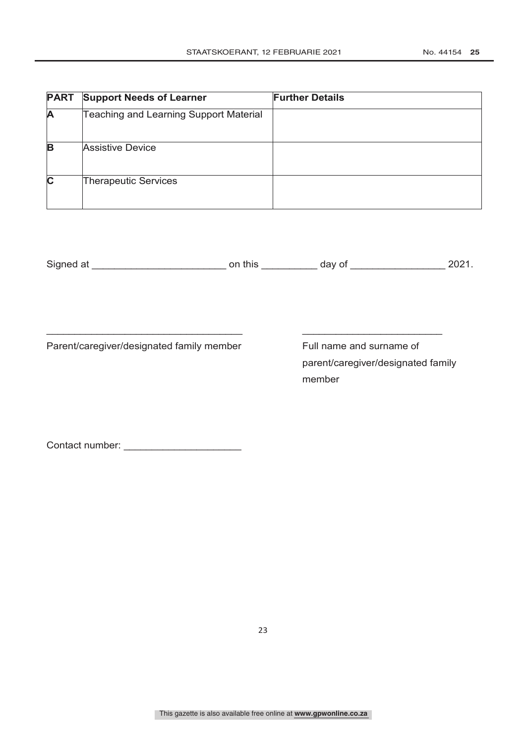| <b>PART</b> | <b>Support Needs of Learner</b>               | <b>Further Details</b> |
|-------------|-----------------------------------------------|------------------------|
| A           | <b>Teaching and Learning Support Material</b> |                        |
| B           | <b>Assistive Device</b>                       |                        |
| $\mathbf c$ | <b>Therapeutic Services</b>                   |                        |

| Signed at | this<br>Эr | ''' |  |
|-----------|------------|-----|--|
|-----------|------------|-----|--|

 $\overline{\phantom{a}}$  , and the contribution of the contribution of the contribution of the contribution of the contribution of the contribution of the contribution of the contribution of the contribution of the contribution of the

Parent/caregiver/designated family member Full name and surname of

parent/caregiver/designated family member

Contact number: \_\_\_\_\_\_\_\_\_\_\_\_\_\_\_\_\_\_\_\_\_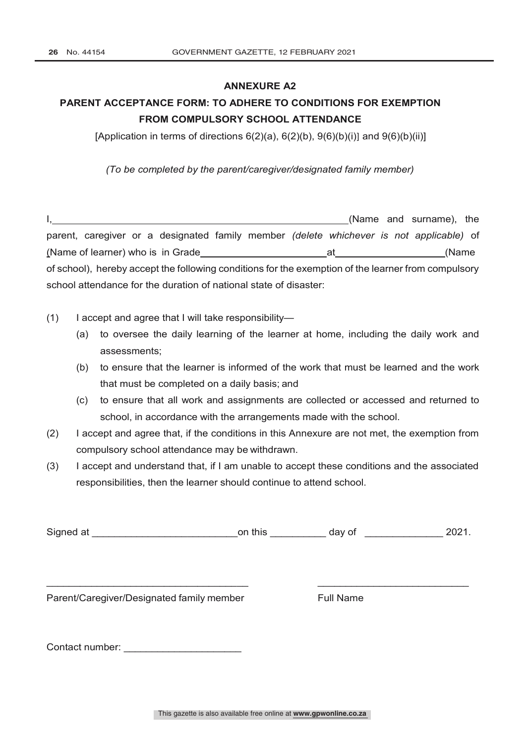#### **ANNEXURE A2**

# **PARENT ACCEPTANCE FORM: TO ADHERE TO CONDITIONS FOR EXEMPTION FROM COMPULSORY SCHOOL ATTENDANCE**

[Application in terms of directions  $6(2)(a)$ ,  $6(2)(b)$ ,  $9(6)(b)(i)$ ] and  $9(6)(b)(ii)$ ]

*(To be completed by the parent/caregiver/designated family member)*

I, (Name and surname), the parent, caregiver or a designated family member *(delete whichever is not applicable)* of (Name of learner) who is in Grade at a control of the control of the control of the control of the control of  $\alpha$ of school), hereby accept the following conditions for the exemption of the learner from compulsory school attendance for the duration of national state of disaster:

- (1) I accept and agree that I will take responsibility—
	- (a) to oversee the daily learning of the learner at home, including the daily work and assessments;
	- (b) to ensure that the learner is informed of the work that must be learned and the work that must be completed on a daily basis; and
	- (c) to ensure that all work and assignments are collected or accessed and returned to school, in accordance with the arrangements made with the school.
- (2) I accept and agree that, if the conditions in this Annexure are not met, the exemption from compulsory school attendance may be withdrawn.
- (3) I accept and understand that, if I am unable to accept these conditions and the associated responsibilities, then the learner should continue to attend school.

Signed at \_\_\_\_\_\_\_\_\_\_\_\_\_\_\_\_\_\_\_\_\_\_\_\_\_\_\_\_\_\_\_\_\_\_on this \_\_\_\_\_\_\_\_\_\_\_\_\_\_ day of \_\_\_\_\_\_\_\_\_\_\_\_\_\_\_\_\_\_ 2021.

\_\_\_\_\_\_\_\_\_\_\_\_\_\_\_\_\_\_\_\_\_\_\_\_\_\_\_\_\_\_\_\_\_\_\_\_ \_\_\_\_\_\_\_\_\_\_\_\_\_\_\_\_\_\_\_\_\_\_\_\_\_\_\_

Parent/Caregiver/Designated family member Full Name

Contact number: \_\_\_\_\_\_\_\_\_\_\_\_\_\_\_\_\_\_\_\_\_

This gazette is also available free online at **www.gpwonline.co.za**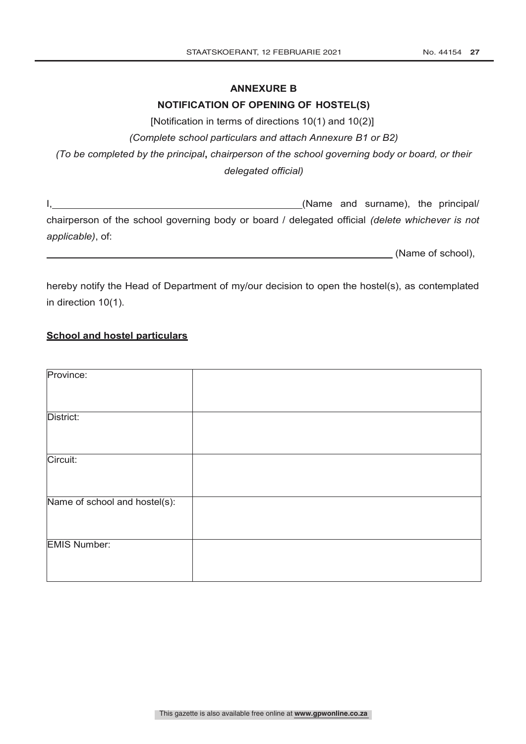### **ANNEXURE B**

### **NOTIFICATION OF OPENING OF HOSTEL(S)**

[Notification in terms of directions 10(1) and 10(2)]

*(Complete school particulars and attach Annexure B1 or B2)*

*(To be completed by the principal***,** *chairperson of the school governing body or board, or their delegated official)*

I, Mame and surname), the principal/ chairperson of the school governing body or board / delegated official *(delete whichever is not applicable)*, of:

(Name of school),

hereby notify the Head of Department of my/our decision to open the hostel(s), as contemplated in direction 10(1).

### **School and hostel particulars**

| Province:                     |  |
|-------------------------------|--|
|                               |  |
| District:                     |  |
|                               |  |
| Circuit:                      |  |
|                               |  |
| Name of school and hostel(s): |  |
|                               |  |
| <b>EMIS Number:</b>           |  |
|                               |  |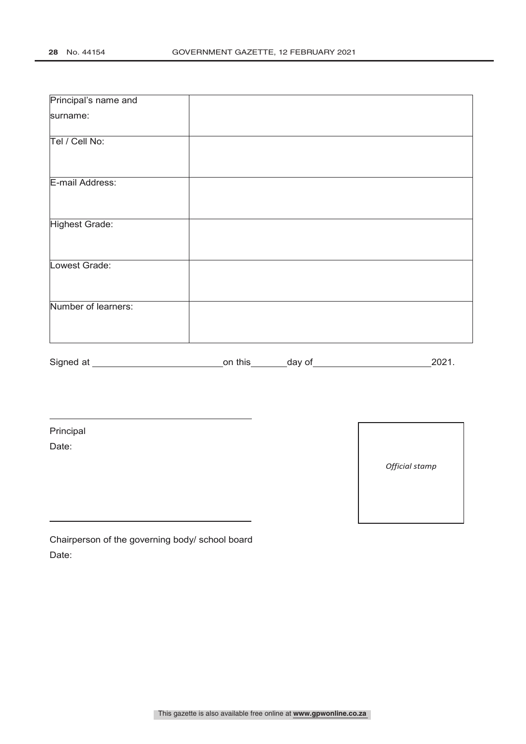| Principal's name and  |                                                                            |  |
|-----------------------|----------------------------------------------------------------------------|--|
| surname:              |                                                                            |  |
| Tel / Cell No:        |                                                                            |  |
| E-mail Address:       |                                                                            |  |
| <b>Highest Grade:</b> |                                                                            |  |
| Lowest Grade:         |                                                                            |  |
| Number of learners:   |                                                                            |  |
|                       |                                                                            |  |
|                       |                                                                            |  |
| Principal             | the control of the control of the control of the control of the control of |  |
| Date:                 |                                                                            |  |

Chairperson of the governing body/ school board Date:

*Official stamp*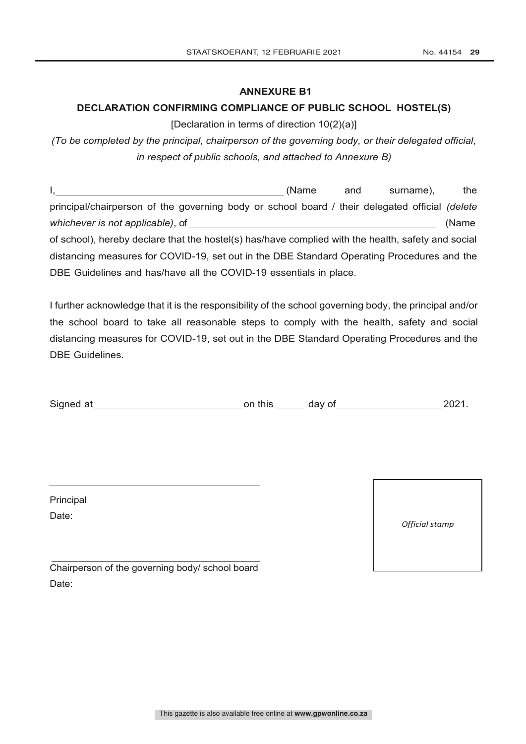**ANNEXURE B1**

#### **DECLARATION CONFIRMING COMPLIANCE OF PUBLIC SCHOOL HOSTEL(S)**

[Declaration in terms of direction 10(2)(a)]

*(To be completed by the principal, chairperson of the governing body, or their delegated official, in respect of public schools, and attached to Annexure B)*

I, (Name and surname), the principal/chairperson of the governing body or school board / their delegated official *(delete whichever is not applicable)*, of (Name of school), hereby declare that the hostel(s) has/have complied with the health, safety and social distancing measures for COVID-19, set out in the DBE Standard Operating Procedures and the DBE Guidelines and has/have all the COVID-19 essentials in place.

I further acknowledge that it is the responsibility of the school governing body, the principal and/or the school board to take all reasonable steps to comply with the health, safety and social distancing measures for COVID-19, set out in the DBE Standard Operating Procedures and the DBE Guidelines.

| Signed at<br>on this | dav of | 2021. |
|----------------------|--------|-------|
|----------------------|--------|-------|

Principal Date:

*Official stamp*

Chairperson of the governing body/ school board Date: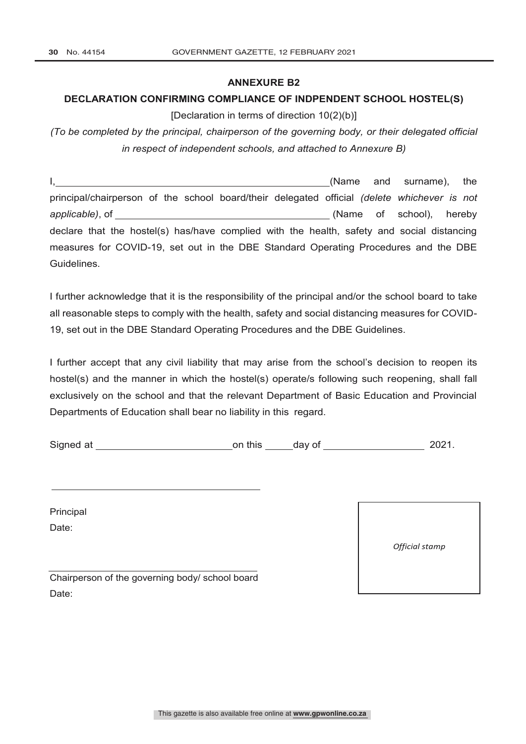#### **ANNEXURE B2**

### **DECLARATION CONFIRMING COMPLIANCE OF INDPENDENT SCHOOL HOSTEL(S)**

[Declaration in terms of direction 10(2)(b)]

*(To be completed by the principal, chairperson of the governing body, or their delegated official in respect of independent schools, and attached to Annexure B)* 

I, (Name and surname), the principal/chairperson of the school board/their delegated official *(delete whichever is not applicable)*, of (Name of school), hereby declare that the hostel(s) has/have complied with the health, safety and social distancing measures for COVID-19, set out in the DBE Standard Operating Procedures and the DBE Guidelines.

I further acknowledge that it is the responsibility of the principal and/or the school board to take all reasonable steps to comply with the health, safety and social distancing measures for COVID-19, set out in the DBE Standard Operating Procedures and the DBE Guidelines.

I further accept that any civil liability that may arise from the school's decision to reopen its hostel(s) and the manner in which the hostel(s) operate/s following such reopening, shall fall exclusively on the school and that the relevant Department of Basic Education and Provincial Departments of Education shall bear no liability in this regard.

Signed at **Signed at a contract on this** day of 2021.

Principal Date:

*Official stamp*

Chairperson of the governing body/ school board Date: